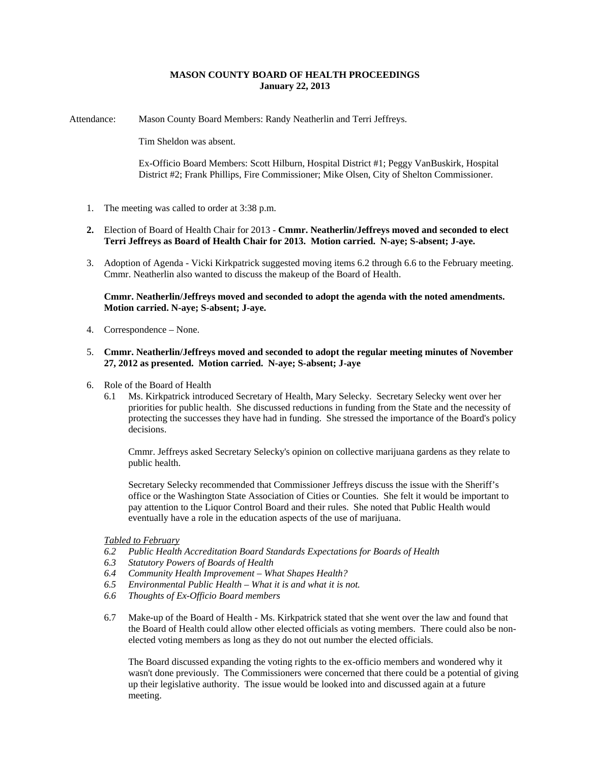# **MASON COUNTY BOARD OF HEALTH PROCEEDINGS January 22, 2013**

Attendance: Mason County Board Members: Randy Neatherlin and Terri Jeffreys.

Tim Sheldon was absent.

Ex-Officio Board Members: Scott Hilburn, Hospital District #1; Peggy VanBuskirk, Hospital District #2; Frank Phillips, Fire Commissioner; Mike Olsen, City of Shelton Commissioner.

- 1. The meeting was called to order at 3:38 p.m.
- **2.** Election of Board of Health Chair for 2013 **Cmmr. Neatherlin/Jeffreys moved and seconded to elect Terri Jeffreys as Board of Health Chair for 2013. Motion carried. N-aye; S-absent; J-aye.**
- 3. Adoption of Agenda Vicki Kirkpatrick suggested moving items 6.2 through 6.6 to the February meeting. Cmmr. Neatherlin also wanted to discuss the makeup of the Board of Health.

### **Cmmr. Neatherlin/Jeffreys moved and seconded to adopt the agenda with the noted amendments. Motion carried. N-aye; S-absent; J-aye.**

4. Correspondence – None.

### 5. **Cmmr. Neatherlin/Jeffreys moved and seconded to adopt the regular meeting minutes of November 27, 2012 as presented. Motion carried. N-aye; S-absent; J-aye**

- 6. Role of the Board of Health
	- 6.1 Ms. Kirkpatrick introduced Secretary of Health, Mary Selecky. Secretary Selecky went over her priorities for public health. She discussed reductions in funding from the State and the necessity of protecting the successes they have had in funding. She stressed the importance of the Board's policy decisions.

Cmmr. Jeffreys asked Secretary Selecky's opinion on collective marijuana gardens as they relate to public health.

Secretary Selecky recommended that Commissioner Jeffreys discuss the issue with the Sheriff's office or the Washington State Association of Cities or Counties. She felt it would be important to pay attention to the Liquor Control Board and their rules. She noted that Public Health would eventually have a role in the education aspects of the use of marijuana.

# *Tabled to February*

- *6.2 Public Health Accreditation Board Standards Expectations for Boards of Health*
- *6.3 Statutory Powers of Boards of Health*
- *6.4 Community Health Improvement What Shapes Health?*
- *6.5 Environmental Public Health What it is and what it is not.*
- *6.6 Thoughts of Ex-Officio Board members*
- 6.7 Make-up of the Board of Health Ms. Kirkpatrick stated that she went over the law and found that the Board of Health could allow other elected officials as voting members. There could also be nonelected voting members as long as they do not out number the elected officials.

The Board discussed expanding the voting rights to the ex-officio members and wondered why it wasn't done previously. The Commissioners were concerned that there could be a potential of giving up their legislative authority. The issue would be looked into and discussed again at a future meeting.